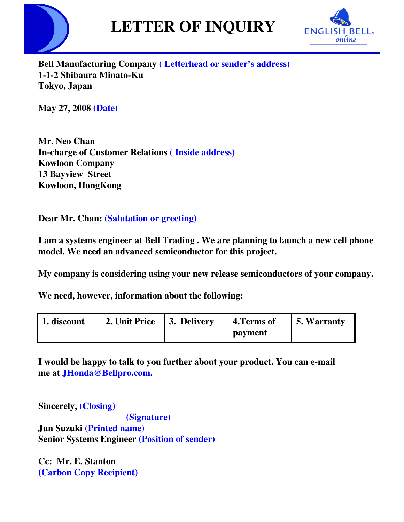



**Bell Manufacturing Company ( Letterhead or sender's address) 1-1-2 Shibaura Minato-Ku Tokyo, Japan**

**May 27, 2008 (Date)**

**Mr. Neo Chan In-charge of Customer Relations ( Inside address) Kowloon Company 13 Bayview Street Kowloon, HongKong**

**Dear Mr. Chan: (Salutation or greeting)**

**I am a systems engineer at Bell Trading . We are planning to launch a new cell phone model. We need an advanced semiconductor for this project.**

**My company is considering using your new release semiconductors of your company.**

**We need, however, information about the following:**

| 1. discount | 2. Unit Price   3. Delivery | 4. Terms of    | $\vert$ 5. Warranty |
|-------------|-----------------------------|----------------|---------------------|
|             |                             | <b>payment</b> |                     |

**I would be happy to talk to you further about your product. You can e-mail me at JHonda@Bellpro.com.**

**Sincerely, (Closing) \_\_\_\_\_\_\_\_\_\_\_\_\_\_\_\_\_\_\_(Signature) Jun Suzuki (Printed name) Senior Systems Engineer (Position of sender)**

**Cc: Mr. E. Stanton (Carbon Copy Recipient)**